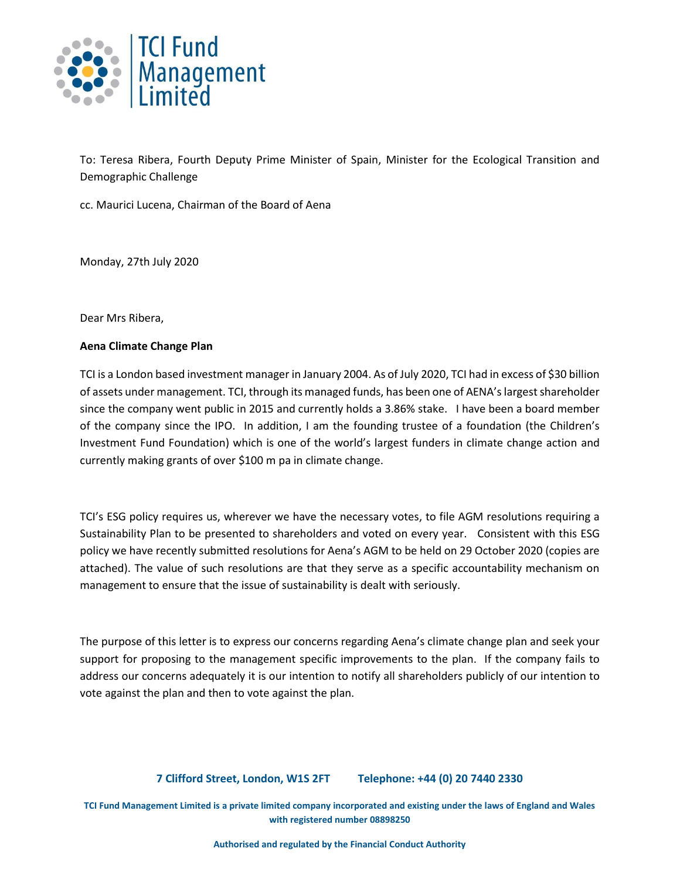

To: Teresa Ribera, Fourth Deputy Prime Minister of Spain, Minister for the Ecological Transition and Demographic Challenge

cc. Maurici Lucena, Chairman of the Board of Aena

Monday, 27th July 2020

Dear Mrs Ribera,

### **Aena Climate Change Plan**

TCI is a London based investment manager in January 2004. As of July 2020, TCI had in excess of \$30 billion of assets under management. TCI, through its managed funds, has been one of AENA's largest shareholder since the company went public in 2015 and currently holds a 3.86% stake. I have been a board member of the company since the IPO. In addition, I am the founding trustee of a foundation (the Children's Investment Fund Foundation) which is one of the world's largest funders in climate change action and currently making grants of over \$100 m pa in climate change.

TCI's ESG policy requires us, wherever we have the necessary votes, to file AGM resolutions requiring a Sustainability Plan to be presented to shareholders and voted on every year. Consistent with this ESG policy we have recently submitted resolutions for Aena's AGM to be held on 29 October 2020 (copies are attached). The value of such resolutions are that they serve as a specific accountability mechanism on management to ensure that the issue of sustainability is dealt with seriously.

The purpose of this letter is to express our concerns regarding Aena's climate change plan and seek your support for proposing to the management specific improvements to the plan. If the company fails to address our concerns adequately it is our intention to notify all shareholders publicly of our intention to vote against the plan and then to vote against the plan.

## **7 Clifford Street, London, W1S 2FT Telephone: +44 (0) 20 7440 2330**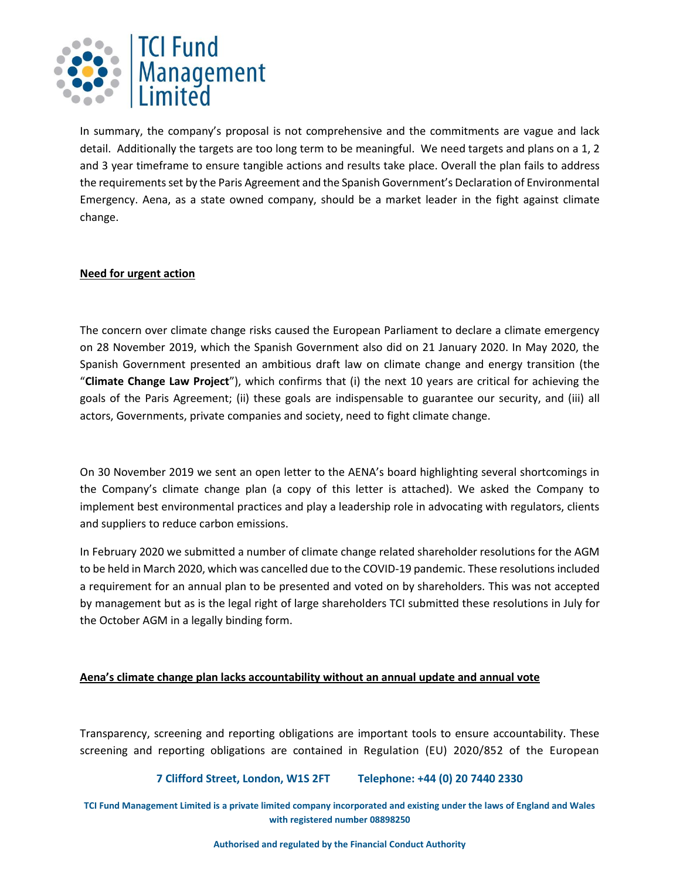

In summary, the company's proposal is not comprehensive and the commitments are vague and lack detail. Additionally the targets are too long term to be meaningful. We need targets and plans on a 1, 2 and 3 year timeframe to ensure tangible actions and results take place. Overall the plan fails to address the requirements set by the Paris Agreement and the Spanish Government's Declaration of Environmental Emergency. Aena, as a state owned company, should be a market leader in the fight against climate change.

## **Need for urgent action**

The concern over climate change risks caused the European Parliament to declare a climate emergency on 28 November 2019, which the Spanish Government also did on 21 January 2020. In May 2020, the Spanish Government presented an ambitious draft law on climate change and energy transition (the "**Climate Change Law Project**"), which confirms that (i) the next 10 years are critical for achieving the goals of the Paris Agreement; (ii) these goals are indispensable to guarantee our security, and (iii) all actors, Governments, private companies and society, need to fight climate change.

On 30 November 2019 we sent an open letter to the AENA's board highlighting several shortcomings in the Company's climate change plan (a copy of this letter is attached). We asked the Company to implement best environmental practices and play a leadership role in advocating with regulators, clients and suppliers to reduce carbon emissions.

In February 2020 we submitted a number of climate change related shareholder resolutions for the AGM to be held in March 2020, which was cancelled due to the COVID-19 pandemic. These resolutions included a requirement for an annual plan to be presented and voted on by shareholders. This was not accepted by management but as is the legal right of large shareholders TCI submitted these resolutions in July for the October AGM in a legally binding form.

## **Aena's climate change plan lacks accountability without an annual update and annual vote**

Transparency, screening and reporting obligations are important tools to ensure accountability. These screening and reporting obligations are contained in Regulation (EU) 2020/852 of the European

## **7 Clifford Street, London, W1S 2FT Telephone: +44 (0) 20 7440 2330**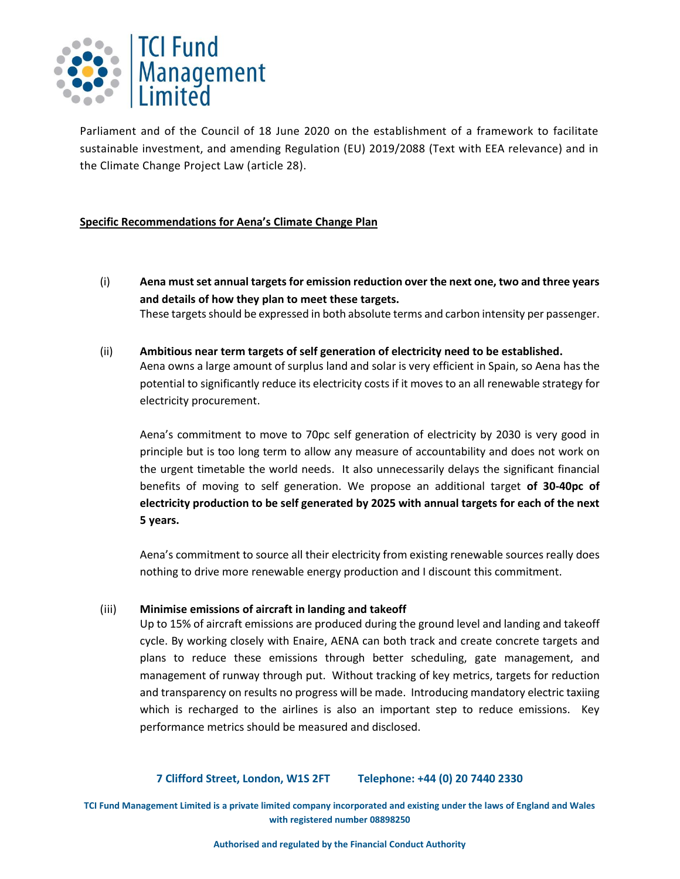

Parliament and of the Council of 18 June 2020 on the establishment of a framework to facilitate sustainable investment, and amending Regulation (EU) 2019/2088 (Text with EEA relevance) and in the Climate Change Project Law (article 28).

## **Specific Recommendations for Aena's Climate Change Plan**

- (i) **Aena must set annual targets for emission reduction over the next one, two and three years and details of how they plan to meet these targets.** These targets should be expressed in both absolute terms and carbon intensity per passenger.
- (ii) **Ambitious near term targets of self generation of electricity need to be established.** Aena owns a large amount of surplus land and solar is very efficient in Spain, so Aena has the potential to significantly reduce its electricity costs if it moves to an all renewable strategy for electricity procurement.

Aena's commitment to move to 70pc self generation of electricity by 2030 is very good in principle but is too long term to allow any measure of accountability and does not work on the urgent timetable the world needs. It also unnecessarily delays the significant financial benefits of moving to self generation. We propose an additional target **of 30-40pc of electricity production to be self generated by 2025 with annual targets for each of the next 5 years.**

Aena's commitment to source all their electricity from existing renewable sources really does nothing to drive more renewable energy production and I discount this commitment.

#### (iii) **Minimise emissions of aircraft in landing and takeoff**

Up to 15% of aircraft emissions are produced during the ground level and landing and takeoff cycle. By working closely with Enaire, AENA can both track and create concrete targets and plans to reduce these emissions through better scheduling, gate management, and management of runway through put. Without tracking of key metrics, targets for reduction and transparency on results no progress will be made. Introducing mandatory electric taxiing which is recharged to the airlines is also an important step to reduce emissions. Key performance metrics should be measured and disclosed.

#### **7 Clifford Street, London, W1S 2FT Telephone: +44 (0) 20 7440 2330**